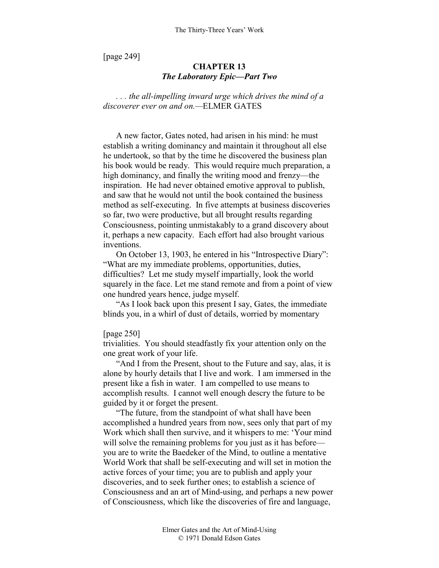[page 249]

# **CHAPTER 13**  *The Laboratory Epic—Part Two*

*. . . the all-impelling inward urge which drives the mind of a discoverer ever on and on.—*ELMER GATES

A new factor, Gates noted, had arisen in his mind: he must establish a writing dominancy and maintain it throughout all else he undertook, so that by the time he discovered the business plan his book would be ready. This would require much preparation, a high dominancy, and finally the writing mood and frenzy—the inspiration. He had never obtained emotive approval to publish, and saw that he would not until the book contained the business method as self-executing. In five attempts at business discoveries so far, two were productive, but all brought results regarding Consciousness, pointing unmistakably to a grand discovery about it, perhaps a new capacity. Each effort had also brought various inventions.

On October 13, 1903, he entered in his "Introspective Diary": "What are my immediate problems, opportunities, duties, difficulties? Let me study myself impartially, look the world squarely in the face. Let me stand remote and from a point of view one hundred years hence, judge myself.

"As I look back upon this present I say, Gates, the immediate blinds you, in a whirl of dust of details, worried by momentary

[page 250]

trivialities. You should steadfastly fix your attention only on the one great work of your life.

"And I from the Present, shout to the Future and say, alas, it is alone by hourly details that I live and work. I am immersed in the present like a fish in water. I am compelled to use means to accomplish results. I cannot well enough descry the future to be guided by it or forget the present.

"The future, from the standpoint of what shall have been accomplished a hundred years from now, sees only that part of my Work which shall then survive, and it whispers to me: 'Your mind will solve the remaining problems for you just as it has before you are to write the Baedeker of the Mind, to outline a mentative World Work that shall be self-executing and will set in motion the active forces of your time; you are to publish and apply your discoveries, and to seek further ones; to establish a science of Consciousness and an art of Mind-using, and perhaps a new power of Consciousness, which like the discoveries of fire and language,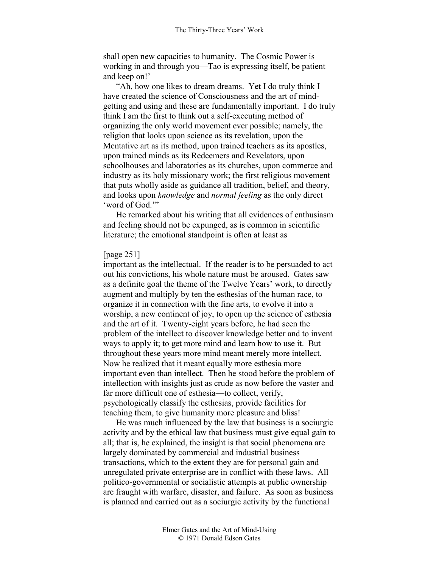shall open new capacities to humanity. The Cosmic Power is working in and through you—Tao is expressing itself, be patient and keep on!'

"Ah, how one likes to dream dreams. Yet I do truly think I have created the science of Consciousness and the art of mindgetting and using and these are fundamentally important. I do truly think I am the first to think out a self-executing method of organizing the only world movement ever possible; namely, the religion that looks upon science as its revelation, upon the Mentative art as its method, upon trained teachers as its apostles, upon trained minds as its Redeemers and Revelators, upon schoolhouses and laboratories as its churches, upon commerce and industry as its holy missionary work; the first religious movement that puts wholly aside as guidance all tradition, belief, and theory, and looks upon *knowledge* and *normal feeling* as the only direct 'word of God.'"

He remarked about his writing that all evidences of enthusiasm and feeling should not be expunged, as is common in scientific literature; the emotional standpoint is often at least as

### [page 251]

important as the intellectual. If the reader is to be persuaded to act out his convictions, his whole nature must be aroused. Gates saw as a definite goal the theme of the Twelve Years' work, to directly augment and multiply by ten the esthesias of the human race, to organize it in connection with the fine arts, to evolve it into a worship, a new continent of joy, to open up the science of esthesia and the art of it. Twenty-eight years before, he had seen the problem of the intellect to discover knowledge better and to invent ways to apply it; to get more mind and learn how to use it. But throughout these years more mind meant merely more intellect. Now he realized that it meant equally more esthesia more important even than intellect. Then he stood before the problem of intellection with insights just as crude as now before the vaster and far more difficult one of esthesia—to collect, verify, psychologically classify the esthesias, provide facilities for teaching them, to give humanity more pleasure and bliss!

He was much influenced by the law that business is a sociurgic activity and by the ethical law that business must give equal gain to all; that is, he explained, the insight is that social phenomena are largely dominated by commercial and industrial business transactions, which to the extent they are for personal gain and unregulated private enterprise are in conflict with these laws. All politico-governmental or socialistic attempts at public ownership are fraught with warfare, disaster, and failure. As soon as business is planned and carried out as a sociurgic activity by the functional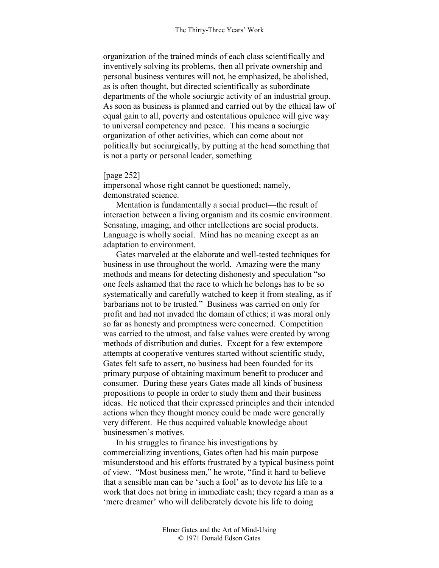organization of the trained minds of each class scientifically and inventively solving its problems, then all private ownership and personal business ventures will not, he emphasized, be abolished, as is often thought, but directed scientifically as subordinate departments of the whole sociurgic activity of an industrial group. As soon as business is planned and carried out by the ethical law of equal gain to all, poverty and ostentatious opulence will give way to universal competency and peace. This means a sociurgic organization of other activities, which can come about not politically but sociurgically, by putting at the head something that is not a party or personal leader, something

# [page 252]

impersonal whose right cannot be questioned; namely, demonstrated science.

Mentation is fundamentally a social product—the result of interaction between a living organism and its cosmic environment. Sensating, imaging, and other intellections are social products. Language is wholly social. Mind has no meaning except as an adaptation to environment.

Gates marveled at the elaborate and well-tested techniques for business in use throughout the world. Amazing were the many methods and means for detecting dishonesty and speculation "so one feels ashamed that the race to which he belongs has to be so systematically and carefully watched to keep it from stealing, as if barbarians not to be trusted." Business was carried on only for profit and had not invaded the domain of ethics; it was moral only so far as honesty and promptness were concerned. Competition was carried to the utmost, and false values were created by wrong methods of distribution and duties. Except for a few extempore attempts at cooperative ventures started without scientific study, Gates felt safe to assert, no business had been founded for its primary purpose of obtaining maximum benefit to producer and consumer. During these years Gates made all kinds of business propositions to people in order to study them and their business ideas. He noticed that their expressed principles and their intended actions when they thought money could be made were generally very different. He thus acquired valuable knowledge about businessmen's motives.

In his struggles to finance his investigations by commercializing inventions, Gates often had his main purpose misunderstood and his efforts frustrated by a typical business point of view. "Most business men," he wrote, "find it hard to believe that a sensible man can be 'such a fool' as to devote his life to a work that does not bring in immediate cash; they regard a man as a 'mere dreamer' who will deliberately devote his life to doing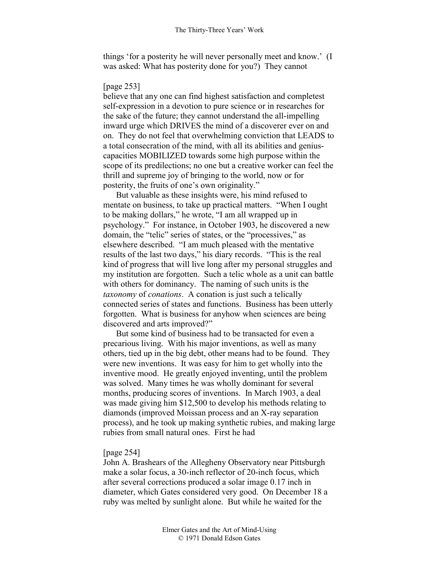things 'for a posterity he will never personally meet and know.' (I was asked: What has posterity done for you?) They cannot

# [page 253]

believe that any one can find highest satisfaction and completest self-expression in a devotion to pure science or in researches for the sake of the future; they cannot understand the all-impelling inward urge which DRIVES the mind of a discoverer ever on and on. They do not feel that overwhelming conviction that LEADS to a total consecration of the mind, with all its abilities and geniuscapacities MOBILIZED towards some high purpose within the scope of its predilections; no one but a creative worker can feel the thrill and supreme joy of bringing to the world, now or for posterity, the fruits of one's own originality."

But valuable as these insights were, his mind refused to mentate on business, to take up practical matters. "When I ought to be making dollars," he wrote, "I am all wrapped up in psychology." For instance, in October 1903, he discovered a new domain, the "telic" series of states, or the "processives," as elsewhere described. "I am much pleased with the mentative results of the last two days," his diary records. "This is the real kind of progress that will live long after my personal struggles and my institution are forgotten. Such a telic whole as a unit can battle with others for dominancy. The naming of such units is the *taxonomy* of *conations*. A conation is just such a telically connected series of states and functions. Business has been utterly forgotten. What is business for anyhow when sciences are being discovered and arts improved?"

But some kind of business had to be transacted for even a precarious living. With his major inventions, as well as many others, tied up in the big debt, other means had to be found. They were new inventions. It was easy for him to get wholly into the inventive mood. He greatly enjoyed inventing, until the problem was solved. Many times he was wholly dominant for several months, producing scores of inventions. In March 1903, a deal was made giving him \$12,500 to develop his methods relating to diamonds (improved Moissan process and an X-ray separation process), and he took up making synthetic rubies, and making large rubies from small natural ones. First he had

# [page 254]

John A. Brashears of the Allegheny Observatory near Pittsburgh make a solar focus, a 30-inch reflector of 20-inch focus, which after several corrections produced a solar image 0.17 inch in diameter, which Gates considered very good. On December 18 a ruby was melted by sunlight alone. But while he waited for the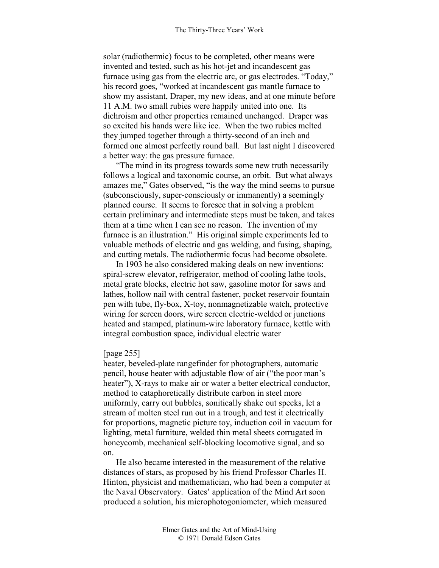solar (radiothermic) focus to be completed, other means were invented and tested, such as his hot-jet and incandescent gas furnace using gas from the electric arc, or gas electrodes. "Today," his record goes, "worked at incandescent gas mantle furnace to show my assistant, Draper, my new ideas, and at one minute before 11 A.M. two small rubies were happily united into one. Its dichroism and other properties remained unchanged. Draper was so excited his hands were like ice. When the two rubies melted they jumped together through a thirty-second of an inch and formed one almost perfectly round ball. But last night I discovered a better way: the gas pressure furnace.

"The mind in its progress towards some new truth necessarily follows a logical and taxonomic course, an orbit. But what always amazes me," Gates observed, "is the way the mind seems to pursue (subconsciously, super-consciously or immanently) a seemingly planned course. It seems to foresee that in solving a problem certain preliminary and intermediate steps must be taken, and takes them at a time when I can see no reason. The invention of my furnace is an illustration." His original simple experiments led to valuable methods of electric and gas welding, and fusing, shaping, and cutting metals. The radiothermic focus had become obsolete.

In 1903 he also considered making deals on new inventions: spiral-screw elevator, refrigerator, method of cooling lathe tools, metal grate blocks, electric hot saw, gasoline motor for saws and lathes, hollow nail with central fastener, pocket reservoir fountain pen with tube, fly-box, X-toy, nonmagnetizable watch, protective wiring for screen doors, wire screen electric-welded or junctions heated and stamped, platinum-wire laboratory furnace, kettle with integral combustion space, individual electric water

### [page 255]

heater, beveled-plate rangefinder for photographers, automatic pencil, house heater with adjustable flow of air ("the poor man's heater"), X-rays to make air or water a better electrical conductor, method to cataphoretically distribute carbon in steel more uniformly, carry out bubbles, sonitically shake out specks, let a stream of molten steel run out in a trough, and test it electrically for proportions, magnetic picture toy, induction coil in vacuum for lighting, metal furniture, welded thin metal sheets corrugated in honeycomb, mechanical self-blocking locomotive signal, and so on.

He also became interested in the measurement of the relative distances of stars, as proposed by his friend Professor Charles H. Hinton, physicist and mathematician, who had been a computer at the Naval Observatory. Gates' application of the Mind Art soon produced a solution, his microphotogoniometer, which measured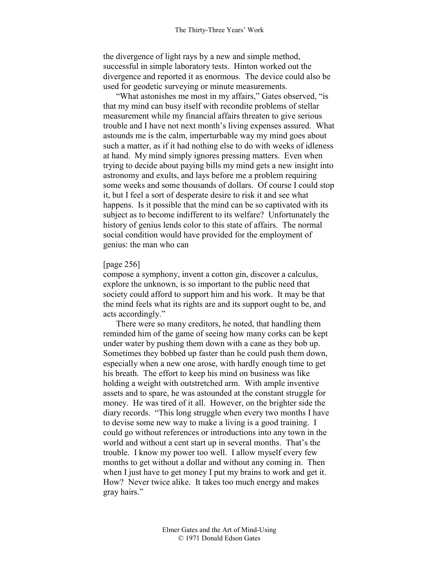the divergence of light rays by a new and simple method, successful in simple laboratory tests. Hinton worked out the divergence and reported it as enormous. The device could also be used for geodetic surveying or minute measurements.

"What astonishes me most in my affairs," Gates observed, "is that my mind can busy itself with recondite problems of stellar measurement while my financial affairs threaten to give serious trouble and I have not next month's living expenses assured. What astounds me is the calm, imperturbable way my mind goes about such a matter, as if it had nothing else to do with weeks of idleness at hand. My mind simply ignores pressing matters. Even when trying to decide about paying bills my mind gets a new insight into astronomy and exults, and lays before me a problem requiring some weeks and some thousands of dollars. Of course I could stop it, but I feel a sort of desperate desire to risk it and see what happens. Is it possible that the mind can be so captivated with its subject as to become indifferent to its welfare? Unfortunately the history of genius lends color to this state of affairs. The normal social condition would have provided for the employment of genius: the man who can

## [page 256]

compose a symphony, invent a cotton gin, discover a calculus, explore the unknown, is so important to the public need that society could afford to support him and his work. It may be that the mind feels what its rights are and its support ought to be, and acts accordingly."

There were so many creditors, he noted, that handling them reminded him of the game of seeing how many corks can be kept under water by pushing them down with a cane as they bob up. Sometimes they bobbed up faster than he could push them down, especially when a new one arose, with hardly enough time to get his breath. The effort to keep his mind on business was like holding a weight with outstretched arm. With ample inventive assets and to spare, he was astounded at the constant struggle for money. He was tired of it all. However, on the brighter side the diary records. "This long struggle when every two months I have to devise some new way to make a living is a good training. I could go without references or introductions into any town in the world and without a cent start up in several months. That's the trouble. I know my power too well. I allow myself every few months to get without a dollar and without any coming in. Then when I just have to get money I put my brains to work and get it. How? Never twice alike. It takes too much energy and makes gray hairs."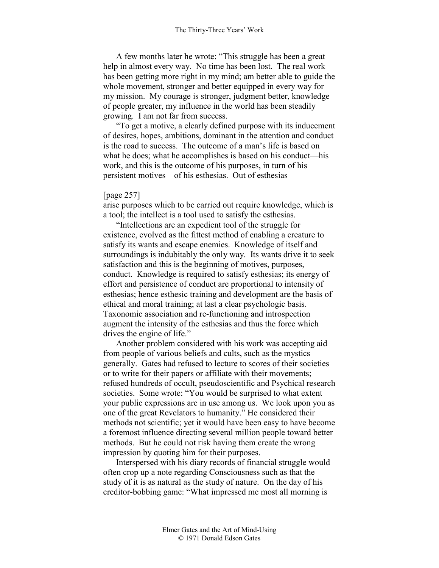A few months later he wrote: "This struggle has been a great help in almost every way. No time has been lost. The real work has been getting more right in my mind; am better able to guide the whole movement, stronger and better equipped in every way for my mission. My courage is stronger, judgment better, knowledge of people greater, my influence in the world has been steadily growing. I am not far from success.

"To get a motive, a clearly defined purpose with its inducement of desires, hopes, ambitions, dominant in the attention and conduct is the road to success. The outcome of a man's life is based on what he does; what he accomplishes is based on his conduct—his work, and this is the outcome of his purposes, in turn of his persistent motives—of his esthesias. Out of esthesias

### [page 257]

arise purposes which to be carried out require knowledge, which is a tool; the intellect is a tool used to satisfy the esthesias.

"Intellections are an expedient tool of the struggle for existence, evolved as the fittest method of enabling a creature to satisfy its wants and escape enemies. Knowledge of itself and surroundings is indubitably the only way. Its wants drive it to seek satisfaction and this is the beginning of motives, purposes, conduct. Knowledge is required to satisfy esthesias; its energy of effort and persistence of conduct are proportional to intensity of esthesias; hence esthesic training and development are the basis of ethical and moral training; at last a clear psychologic basis. Taxonomic association and re-functioning and introspection augment the intensity of the esthesias and thus the force which drives the engine of life."

Another problem considered with his work was accepting aid from people of various beliefs and cults, such as the mystics generally. Gates had refused to lecture to scores of their societies or to write for their papers or affiliate with their movements; refused hundreds of occult, pseudoscientific and Psychical research societies. Some wrote: "You would be surprised to what extent your public expressions are in use among us. We look upon you as one of the great Revelators to humanity." He considered their methods not scientific; yet it would have been easy to have become a foremost influence directing several million people toward better methods. But he could not risk having them create the wrong impression by quoting him for their purposes.

Interspersed with his diary records of financial struggle would often crop up a note regarding Consciousness such as that the study of it is as natural as the study of nature. On the day of his creditor-bobbing game: "What impressed me most all morning is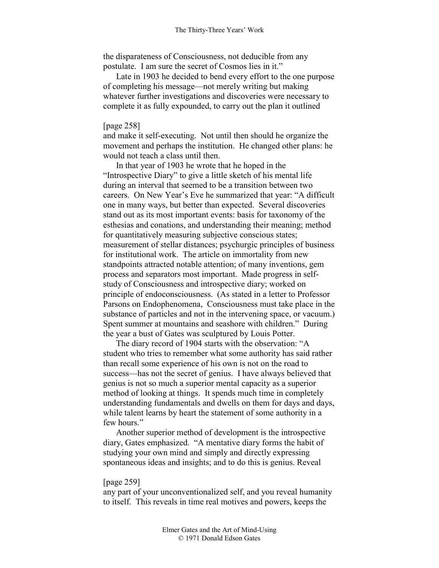the disparateness of Consciousness, not deducible from any postulate. I am sure the secret of Cosmos lies in it."

Late in 1903 he decided to bend every effort to the one purpose of completing his message—not merely writing but making whatever further investigations and discoveries were necessary to complete it as fully expounded, to carry out the plan it outlined

#### [page 258]

and make it self-executing. Not until then should he organize the movement and perhaps the institution. He changed other plans: he would not teach a class until then.

In that year of 1903 he wrote that he hoped in the "Introspective Diary" to give a little sketch of his mental life during an interval that seemed to be a transition between two careers. On New Year's Eve he summarized that year: "A difficult one in many ways, but better than expected. Several discoveries stand out as its most important events: basis for taxonomy of the esthesias and conations, and understanding their meaning; method for quantitatively measuring subjective conscious states; measurement of stellar distances; psychurgic principles of business for institutional work. The article on immortality from new standpoints attracted notable attention; of many inventions, gem process and separators most important. Made progress in selfstudy of Consciousness and introspective diary; worked on principle of endoconsciousness. (As stated in a letter to Professor Parsons on Endophenomena, Consciousness must take place in the substance of particles and not in the intervening space, or vacuum.) Spent summer at mountains and seashore with children." During the year a bust of Gates was sculptured by Louis Potter.

The diary record of 1904 starts with the observation: "A student who tries to remember what some authority has said rather than recall some experience of his own is not on the road to success—has not the secret of genius. I have always believed that genius is not so much a superior mental capacity as a superior method of looking at things. It spends much time in completely understanding fundamentals and dwells on them for days and days, while talent learns by heart the statement of some authority in a few hours."

Another superior method of development is the introspective diary, Gates emphasized. "A mentative diary forms the habit of studying your own mind and simply and directly expressing spontaneous ideas and insights; and to do this is genius. Reveal

### [page 259]

any part of your unconventionalized self, and you reveal humanity to itself. This reveals in time real motives and powers, keeps the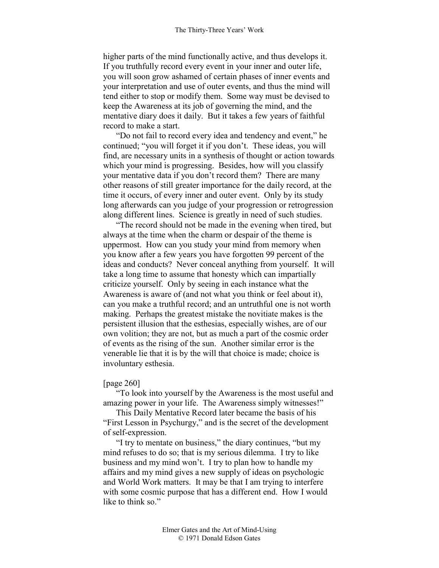higher parts of the mind functionally active, and thus develops it. If you truthfully record every event in your inner and outer life, you will soon grow ashamed of certain phases of inner events and your interpretation and use of outer events, and thus the mind will tend either to stop or modify them. Some way must be devised to keep the Awareness at its job of governing the mind, and the mentative diary does it daily. But it takes a few years of faithful record to make a start.

"Do not fail to record every idea and tendency and event," he continued; "you will forget it if you don't. These ideas, you will find, are necessary units in a synthesis of thought or action towards which your mind is progressing. Besides, how will you classify your mentative data if you don't record them? There are many other reasons of still greater importance for the daily record, at the time it occurs, of every inner and outer event. Only by its study long afterwards can you judge of your progression or retrogression along different lines. Science is greatly in need of such studies.

"The record should not be made in the evening when tired, but always at the time when the charm or despair of the theme is uppermost. How can you study your mind from memory when you know after a few years you have forgotten 99 percent of the ideas and conducts? Never conceal anything from yourself. It will take a long time to assume that honesty which can impartially criticize yourself. Only by seeing in each instance what the Awareness is aware of (and not what you think or feel about it), can you make a truthful record; and an untruthful one is not worth making. Perhaps the greatest mistake the novitiate makes is the persistent illusion that the esthesias, especially wishes, are of our own volition; they are not, but as much a part of the cosmic order of events as the rising of the sun. Another similar error is the venerable lie that it is by the will that choice is made; choice is involuntary esthesia.

#### [page 260]

"To look into yourself by the Awareness is the most useful and amazing power in your life. The Awareness simply witnesses!"

This Daily Mentative Record later became the basis of his "First Lesson in Psychurgy," and is the secret of the development of self-expression.

"I try to mentate on business," the diary continues, "but my mind refuses to do so; that is my serious dilemma. I try to like business and my mind won't. I try to plan how to handle my affairs and my mind gives a new supply of ideas on psychologic and World Work matters. It may be that I am trying to interfere with some cosmic purpose that has a different end. How I would like to think so."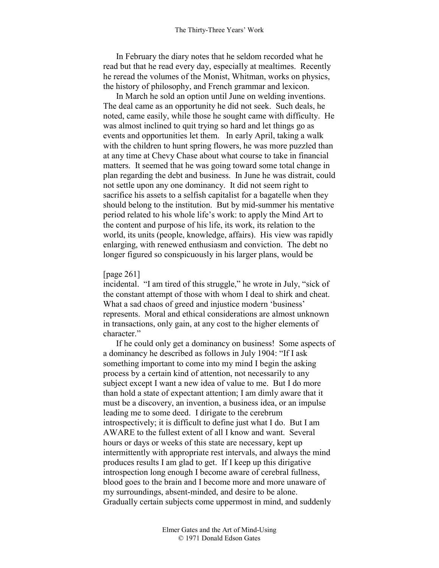In February the diary notes that he seldom recorded what he read but that he read every day, especially at mealtimes. Recently he reread the volumes of the Monist, Whitman, works on physics, the history of philosophy, and French grammar and lexicon.

In March he sold an option until June on welding inventions. The deal came as an opportunity he did not seek. Such deals, he noted, came easily, while those he sought came with difficulty. He was almost inclined to quit trying so hard and let things go as events and opportunities let them. In early April, taking a walk with the children to hunt spring flowers, he was more puzzled than at any time at Chevy Chase about what course to take in financial matters. It seemed that he was going toward some total change in plan regarding the debt and business. In June he was distrait, could not settle upon any one dominancy. It did not seem right to sacrifice his assets to a selfish capitalist for a bagatelle when they should belong to the institution. But by mid-summer his mentative period related to his whole life's work: to apply the Mind Art to the content and purpose of his life, its work, its relation to the world, its units (people, knowledge, affairs). His view was rapidly enlarging, with renewed enthusiasm and conviction. The debt no longer figured so conspicuously in his larger plans, would be

#### [page 261]

incidental. "I am tired of this struggle," he wrote in July, "sick of the constant attempt of those with whom I deal to shirk and cheat. What a sad chaos of greed and injustice modern 'business' represents. Moral and ethical considerations are almost unknown in transactions, only gain, at any cost to the higher elements of character."

If he could only get a dominancy on business! Some aspects of a dominancy he described as follows in July 1904: "If I ask something important to come into my mind I begin the asking process by a certain kind of attention, not necessarily to any subject except I want a new idea of value to me. But I do more than hold a state of expectant attention; I am dimly aware that it must be a discovery, an invention, a business idea, or an impulse leading me to some deed. I dirigate to the cerebrum introspectively; it is difficult to define just what I do. But I am AWARE to the fullest extent of all I know and want. Several hours or days or weeks of this state are necessary, kept up intermittently with appropriate rest intervals, and always the mind produces results I am glad to get. If I keep up this dirigative introspection long enough I become aware of cerebral fullness, blood goes to the brain and I become more and more unaware of my surroundings, absent-minded, and desire to be alone. Gradually certain subjects come uppermost in mind, and suddenly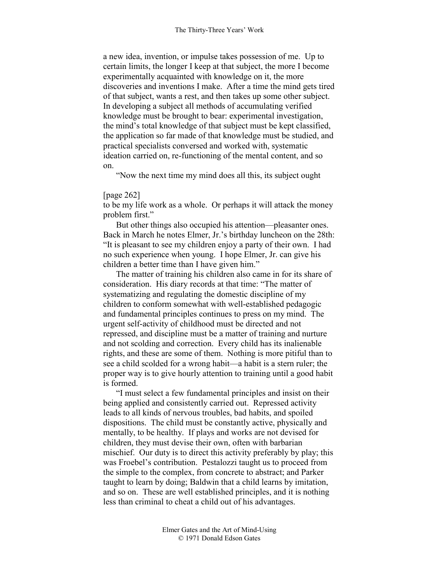a new idea, invention, or impulse takes possession of me. Up to certain limits, the longer I keep at that subject, the more I become experimentally acquainted with knowledge on it, the more discoveries and inventions I make. After a time the mind gets tired of that subject, wants a rest, and then takes up some other subject. In developing a subject all methods of accumulating verified knowledge must be brought to bear: experimental investigation, the mind's total knowledge of that subject must be kept classified, the application so far made of that knowledge must be studied, and practical specialists conversed and worked with, systematic ideation carried on, re-functioning of the mental content, and so on.

"Now the next time my mind does all this, its subject ought

### [page 262]

to be my life work as a whole. Or perhaps it will attack the money problem first."

But other things also occupied his attention—pleasanter ones. Back in March he notes Elmer, Jr.'s birthday luncheon on the 28th: "It is pleasant to see my children enjoy a party of their own. I had no such experience when young. I hope Elmer, Jr. can give his children a better time than I have given him."

The matter of training his children also came in for its share of consideration. His diary records at that time: "The matter of systematizing and regulating the domestic discipline of my children to conform somewhat with well-established pedagogic and fundamental principles continues to press on my mind. The urgent self-activity of childhood must be directed and not repressed, and discipline must be a matter of training and nurture and not scolding and correction. Every child has its inalienable rights, and these are some of them. Nothing is more pitiful than to see a child scolded for a wrong habit—a habit is a stern ruler; the proper way is to give hourly attention to training until a good habit is formed.

"I must select a few fundamental principles and insist on their being applied and consistently carried out. Repressed activity leads to all kinds of nervous troubles, bad habits, and spoiled dispositions. The child must be constantly active, physically and mentally, to be healthy. If plays and works are not devised for children, they must devise their own, often with barbarian mischief. Our duty is to direct this activity preferably by play; this was Froebel's contribution. Pestalozzi taught us to proceed from the simple to the complex, from concrete to abstract; and Parker taught to learn by doing; Baldwin that a child learns by imitation, and so on. These are well established principles, and it is nothing less than criminal to cheat a child out of his advantages.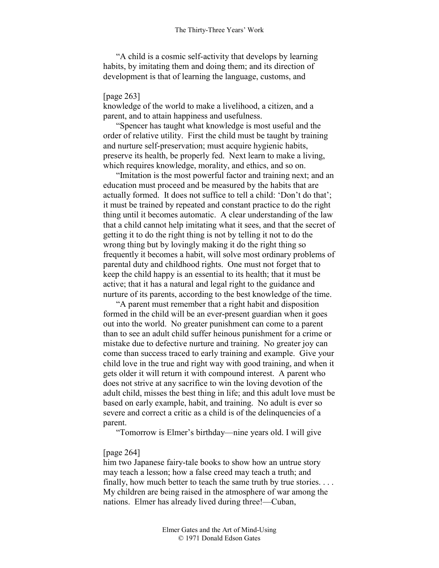"A child is a cosmic self-activity that develops by learning habits, by imitating them and doing them; and its direction of development is that of learning the language, customs, and

### [page 263]

knowledge of the world to make a livelihood, a citizen, and a parent, and to attain happiness and usefulness.

"Spencer has taught what knowledge is most useful and the order of relative utility. First the child must be taught by training and nurture self-preservation; must acquire hygienic habits, preserve its health, be properly fed. Next learn to make a living, which requires knowledge, morality, and ethics, and so on.

"Imitation is the most powerful factor and training next; and an education must proceed and be measured by the habits that are actually formed. It does not suffice to tell a child: 'Don't do that'; it must be trained by repeated and constant practice to do the right thing until it becomes automatic. A clear understanding of the law that a child cannot help imitating what it sees, and that the secret of getting it to do the right thing is not by telling it not to do the wrong thing but by lovingly making it do the right thing so frequently it becomes a habit, will solve most ordinary problems of parental duty and childhood rights. One must not forget that to keep the child happy is an essential to its health; that it must be active; that it has a natural and legal right to the guidance and nurture of its parents, according to the best knowledge of the time.

"A parent must remember that a right habit and disposition formed in the child will be an ever-present guardian when it goes out into the world. No greater punishment can come to a parent than to see an adult child suffer heinous punishment for a crime or mistake due to defective nurture and training. No greater joy can come than success traced to early training and example. Give your child love in the true and right way with good training, and when it gets older it will return it with compound interest. A parent who does not strive at any sacrifice to win the loving devotion of the adult child, misses the best thing in life; and this adult love must be based on early example, habit, and training. No adult is ever so severe and correct a critic as a child is of the delinquencies of a parent.

"Tomorrow is Elmer's birthday—nine years old. I will give

#### [page 264]

him two Japanese fairy-tale books to show how an untrue story may teach a lesson; how a false creed may teach a truth; and finally, how much better to teach the same truth by true stories. . . . My children are being raised in the atmosphere of war among the nations. Elmer has already lived during three!—Cuban,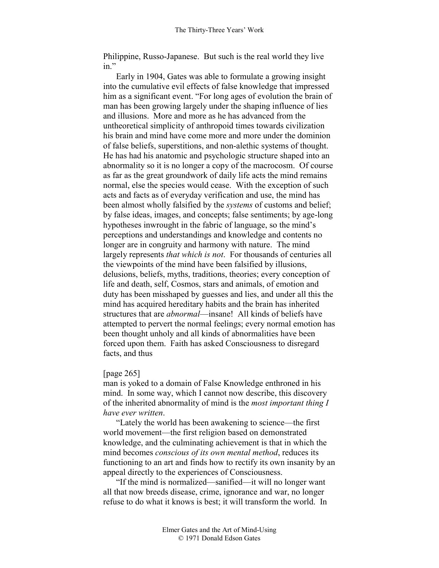Philippine, Russo-Japanese. But such is the real world they live in"

Early in 1904, Gates was able to formulate a growing insight into the cumulative evil effects of false knowledge that impressed him as a significant event. "For long ages of evolution the brain of man has been growing largely under the shaping influence of lies and illusions. More and more as he has advanced from the untheoretical simplicity of anthropoid times towards civilization his brain and mind have come more and more under the dominion of false beliefs, superstitions, and non-alethic systems of thought. He has had his anatomic and psychologic structure shaped into an abnormality so it is no longer a copy of the macrocosm. Of course as far as the great groundwork of daily life acts the mind remains normal, else the species would cease. With the exception of such acts and facts as of everyday verification and use, the mind has been almost wholly falsified by the *systems* of customs and belief; by false ideas, images, and concepts; false sentiments; by age-long hypotheses inwrought in the fabric of language, so the mind's perceptions and understandings and knowledge and contents no longer are in congruity and harmony with nature. The mind largely represents *that which is not*. For thousands of centuries all the viewpoints of the mind have been falsified by illusions, delusions, beliefs, myths, traditions, theories; every conception of life and death, self, Cosmos, stars and animals, of emotion and duty has been misshaped by guesses and lies, and under all this the mind has acquired hereditary habits and the brain has inherited structures that are *abnormal*—insane! All kinds of beliefs have attempted to pervert the normal feelings; every normal emotion has been thought unholy and all kinds of abnormalities have been forced upon them. Faith has asked Consciousness to disregard facts, and thus

### [page 265]

man is yoked to a domain of False Knowledge enthroned in his mind. In some way, which I cannot now describe, this discovery of the inherited abnormality of mind is the *most important thing I have ever written*.

"Lately the world has been awakening to science—the first world movement—the first religion based on demonstrated knowledge, and the culminating achievement is that in which the mind becomes *conscious of its own mental method*, reduces its functioning to an art and finds how to rectify its own insanity by an appeal directly to the experiences of Consciousness.

"If the mind is normalized—sanified—it will no longer want all that now breeds disease, crime, ignorance and war, no longer refuse to do what it knows is best; it will transform the world. In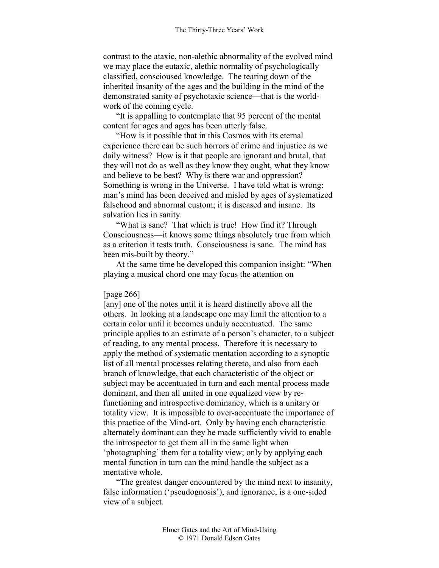contrast to the ataxic, non-alethic abnormality of the evolved mind we may place the eutaxic, alethic normality of psychologically classified, conscioused knowledge. The tearing down of the inherited insanity of the ages and the building in the mind of the demonstrated sanity of psychotaxic science—that is the worldwork of the coming cycle.

"It is appalling to contemplate that 95 percent of the mental content for ages and ages has been utterly false.

"How is it possible that in this Cosmos with its eternal experience there can be such horrors of crime and injustice as we daily witness? How is it that people are ignorant and brutal, that they will not do as well as they know they ought, what they know and believe to be best? Why is there war and oppression? Something is wrong in the Universe. I have told what is wrong: man's mind has been deceived and misled by ages of systematized falsehood and abnormal custom; it is diseased and insane. Its salvation lies in sanity.

"What is sane? That which is true! How find it? Through Consciousness—it knows some things absolutely true from which as a criterion it tests truth. Consciousness is sane. The mind has been mis-built by theory."

At the same time he developed this companion insight: "When playing a musical chord one may focus the attention on

### [page 266]

[any] one of the notes until it is heard distinctly above all the others. In looking at a landscape one may limit the attention to a certain color until it becomes unduly accentuated. The same principle applies to an estimate of a person's character, to a subject of reading, to any mental process. Therefore it is necessary to apply the method of systematic mentation according to a synoptic list of all mental processes relating thereto, and also from each branch of knowledge, that each characteristic of the object or subject may be accentuated in turn and each mental process made dominant, and then all united in one equalized view by refunctioning and introspective dominancy, which is a unitary or totality view. It is impossible to over-accentuate the importance of this practice of the Mind-art. Only by having each characteristic alternately dominant can they be made sufficiently vivid to enable the introspector to get them all in the same light when 'photographing' them for a totality view; only by applying each mental function in turn can the mind handle the subject as a mentative whole.

"The greatest danger encountered by the mind next to insanity, false information ('pseudognosis'), and ignorance, is a one-sided view of a subject.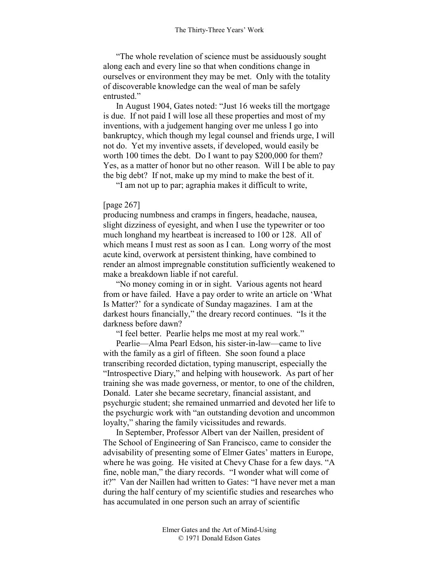"The whole revelation of science must be assiduously sought along each and every line so that when conditions change in ourselves or environment they may be met. Only with the totality of discoverable knowledge can the weal of man be safely entrusted."

In August 1904, Gates noted: "Just 16 weeks till the mortgage is due. If not paid I will lose all these properties and most of my inventions, with a judgement hanging over me unless I go into bankruptcy, which though my legal counsel and friends urge, I will not do. Yet my inventive assets, if developed, would easily be worth 100 times the debt. Do I want to pay \$200,000 for them? Yes, as a matter of honor but no other reason. Will I be able to pay the big debt? If not, make up my mind to make the best of it.

"I am not up to par; agraphia makes it difficult to write,

### [page 267]

producing numbness and cramps in fingers, headache, nausea, slight dizziness of eyesight, and when I use the typewriter or too much longhand my heartbeat is increased to 100 or 128. All of which means I must rest as soon as I can. Long worry of the most acute kind, overwork at persistent thinking, have combined to render an almost impregnable constitution sufficiently weakened to make a breakdown liable if not careful.

"No money coming in or in sight. Various agents not heard from or have failed. Have a pay order to write an article on 'What Is Matter?' for a syndicate of Sunday magazines. I am at the darkest hours financially," the dreary record continues. "Is it the darkness before dawn?

"I feel better. Pearlie helps me most at my real work."

Pearlie—Alma Pearl Edson, his sister-in-law—came to live with the family as a girl of fifteen. She soon found a place transcribing recorded dictation, typing manuscript, especially the "Introspective Diary," and helping with housework. As part of her training she was made governess, or mentor, to one of the children, Donald. Later she became secretary, financial assistant, and psychurgic student; she remained unmarried and devoted her life to the psychurgic work with "an outstanding devotion and uncommon loyalty," sharing the family vicissitudes and rewards.

In September, Professor Albert van der Naillen, president of The School of Engineering of San Francisco, came to consider the advisability of presenting some of Elmer Gates' matters in Europe, where he was going. He visited at Chevy Chase for a few days. "A fine, noble man," the diary records. "I wonder what will come of it?" Van der Naillen had written to Gates: "I have never met a man during the half century of my scientific studies and researches who has accumulated in one person such an array of scientific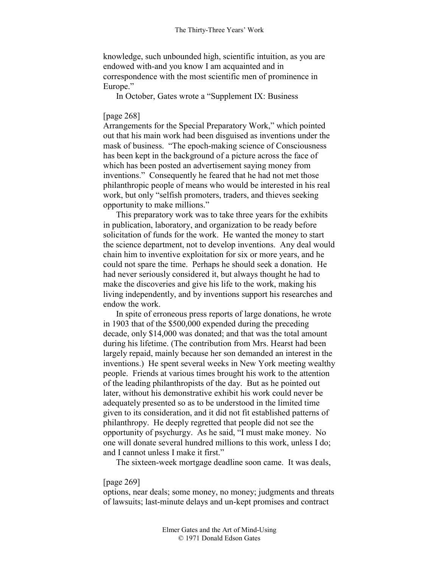knowledge, such unbounded high, scientific intuition, as you are endowed with-and you know I am acquainted and in correspondence with the most scientific men of prominence in Europe."

In October, Gates wrote a "Supplement IX: Business

# [page 268]

Arrangements for the Special Preparatory Work," which pointed out that his main work had been disguised as inventions under the mask of business. "The epoch-making science of Consciousness has been kept in the background of a picture across the face of which has been posted an advertisement saying money from inventions." Consequently he feared that he had not met those philanthropic people of means who would be interested in his real work, but only "selfish promoters, traders, and thieves seeking opportunity to make millions."

This preparatory work was to take three years for the exhibits in publication, laboratory, and organization to be ready before solicitation of funds for the work. He wanted the money to start the science department, not to develop inventions. Any deal would chain him to inventive exploitation for six or more years, and he could not spare the time. Perhaps he should seek a donation. He had never seriously considered it, but always thought he had to make the discoveries and give his life to the work, making his living independently, and by inventions support his researches and endow the work.

In spite of erroneous press reports of large donations, he wrote in 1903 that of the \$500,000 expended during the preceding decade, only \$14,000 was donated; and that was the total amount during his lifetime. (The contribution from Mrs. Hearst had been largely repaid, mainly because her son demanded an interest in the inventions.) He spent several weeks in New York meeting wealthy people. Friends at various times brought his work to the attention of the leading philanthropists of the day. But as he pointed out later, without his demonstrative exhibit his work could never be adequately presented so as to be understood in the limited time given to its consideration, and it did not fit established patterns of philanthropy. He deeply regretted that people did not see the opportunity of psychurgy. As he said, "I must make money. No one will donate several hundred millions to this work, unless I do; and I cannot unless I make it first."

The sixteen-week mortgage deadline soon came. It was deals,

### [page 269]

options, near deals; some money, no money; judgments and threats of lawsuits; last-minute delays and un-kept promises and contract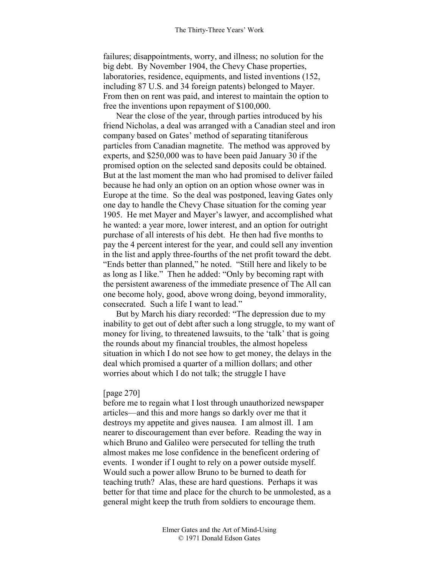failures; disappointments, worry, and illness; no solution for the big debt. By November 1904, the Chevy Chase properties, laboratories, residence, equipments, and listed inventions (152, including 87 U.S. and 34 foreign patents) belonged to Mayer. From then on rent was paid, and interest to maintain the option to free the inventions upon repayment of \$100,000.

Near the close of the year, through parties introduced by his friend Nicholas, a deal was arranged with a Canadian steel and iron company based on Gates' method of separating titaniferous particles from Canadian magnetite. The method was approved by experts, and \$250,000 was to have been paid January 30 if the promised option on the selected sand deposits could be obtained. But at the last moment the man who had promised to deliver failed because he had only an option on an option whose owner was in Europe at the time. So the deal was postponed, leaving Gates only one day to handle the Chevy Chase situation for the coming year 1905. He met Mayer and Mayer's lawyer, and accomplished what he wanted: a year more, lower interest, and an option for outright purchase of all interests of his debt. He then had five months to pay the 4 percent interest for the year, and could sell any invention in the list and apply three-fourths of the net profit toward the debt. "Ends better than planned," he noted. "Still here and likely to be as long as I like." Then he added: "Only by becoming rapt with the persistent awareness of the immediate presence of The All can one become holy, good, above wrong doing, beyond immorality, consecrated. Such a life I want to lead."

But by March his diary recorded: "The depression due to my inability to get out of debt after such a long struggle, to my want of money for living, to threatened lawsuits, to the 'talk' that is going the rounds about my financial troubles, the almost hopeless situation in which I do not see how to get money, the delays in the deal which promised a quarter of a million dollars; and other worries about which I do not talk; the struggle I have

#### [page 270]

before me to regain what I lost through unauthorized newspaper articles—and this and more hangs so darkly over me that it destroys my appetite and gives nausea. I am almost ill. I am nearer to discouragement than ever before. Reading the way in which Bruno and Galileo were persecuted for telling the truth almost makes me lose confidence in the beneficent ordering of events. I wonder if I ought to rely on a power outside myself. Would such a power allow Bruno to be burned to death for teaching truth? Alas, these are hard questions. Perhaps it was better for that time and place for the church to be unmolested, as a general might keep the truth from soldiers to encourage them.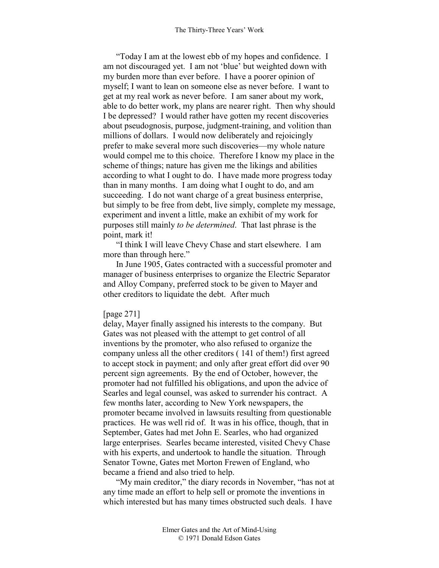"Today I am at the lowest ebb of my hopes and confidence. I am not discouraged yet. I am not 'blue' but weighted down with my burden more than ever before. I have a poorer opinion of myself; I want to lean on someone else as never before. I want to get at my real work as never before. I am saner about my work, able to do better work, my plans are nearer right. Then why should I be depressed? I would rather have gotten my recent discoveries about pseudognosis, purpose, judgment-training, and volition than millions of dollars. I would now deliberately and rejoicingly prefer to make several more such discoveries—my whole nature would compel me to this choice. Therefore I know my place in the scheme of things; nature has given me the likings and abilities according to what I ought to do. I have made more progress today than in many months. I am doing what I ought to do, and am succeeding. I do not want charge of a great business enterprise, but simply to be free from debt, live simply, complete my message, experiment and invent a little, make an exhibit of my work for purposes still mainly *to be determined*. That last phrase is the point, mark it!

"I think I will leave Chevy Chase and start elsewhere. I am more than through here."

In June 1905, Gates contracted with a successful promoter and manager of business enterprises to organize the Electric Separator and Alloy Company, preferred stock to be given to Mayer and other creditors to liquidate the debt. After much

### [page 271]

delay, Mayer finally assigned his interests to the company. But Gates was not pleased with the attempt to get control of all inventions by the promoter, who also refused to organize the company unless all the other creditors ( 141 of them!) first agreed to accept stock in payment; and only after great effort did over 90 percent sign agreements. By the end of October, however, the promoter had not fulfilled his obligations, and upon the advice of Searles and legal counsel, was asked to surrender his contract. A few months later, according to New York newspapers, the promoter became involved in lawsuits resulting from questionable practices. He was well rid of. It was in his office, though, that in September, Gates had met John E. Searles, who had organized large enterprises. Searles became interested, visited Chevy Chase with his experts, and undertook to handle the situation. Through Senator Towne, Gates met Morton Frewen of England, who became a friend and also tried to help.

"My main creditor," the diary records in November, "has not at any time made an effort to help sell or promote the inventions in which interested but has many times obstructed such deals. I have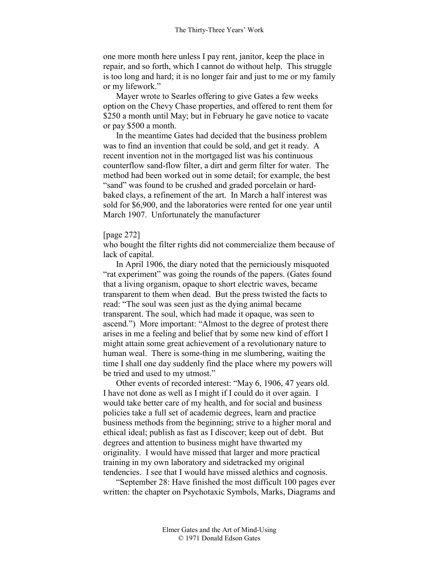one more month here unless I pay rent, janitor, keep the place in repair, and so forth, which I cannot do without help. This struggle is too long and hard; it is no longer fair and just to me or my family or my lifework."

Mayer wrote to Searles offering to give Gates a few weeks option on the Chevy Chase properties, and offered to rent them for \$250 a month until May; but in February he gave notice to vacate or pay \$500 a month.

In the meantime Gates had decided that the business problem was to find an invention that could be sold, and get it ready. A recent invention not in the mortgaged list was his continuous counterflow sand-flow filter, a dirt and germ filter for water. The method had been worked out in some detail; for example, the best "sand" was found to be crushed and graded porcelain or hardbaked clays, a refinement of the art. In March a half interest was sold for \$6,900, and the laboratories were rented for one year until March 1907. Unfortunately the manufacturer

#### [page 272]

who bought the filter rights did not commercialize them because of lack of capital.

In April 1906, the diary noted that the perniciously misquoted "rat experiment" was going the rounds of the papers. (Gates found that a living organism, opaque to short electric waves, became transparent to them when dead. But the press twisted the facts to read: "The soul was seen just as the dying animal became transparent. The soul, which had made it opaque, was seen to ascend.") More important: "Almost to the degree of protest there arises in me a feeling and belief that by some new kind of effort I might attain some great achievement of a revolutionary nature to human weal. There is some-thing in me slumbering, waiting the time I shall one day suddenly find the place where my powers will be tried and used to my utmost."

Other events of recorded interest: "May 6, 1906, 47 years old. I have not done as well as I might if I could do it over again. I would take better care of my health, and for social and business policies take a full set of academic degrees, learn and practice business methods from the beginning; strive to a higher moral and ethical ideal; publish as fast as I discover; keep out of debt. But degrees and attention to business might have thwarted my originality. I would have missed that larger and more practical training in my own laboratory and sidetracked my original tendencies. I see that I would have missed alethics and cognosis.

"September 28: Have finished the most difficult 100 pages ever written: the chapter on Psychotaxic Symbols, Marks, Diagrams and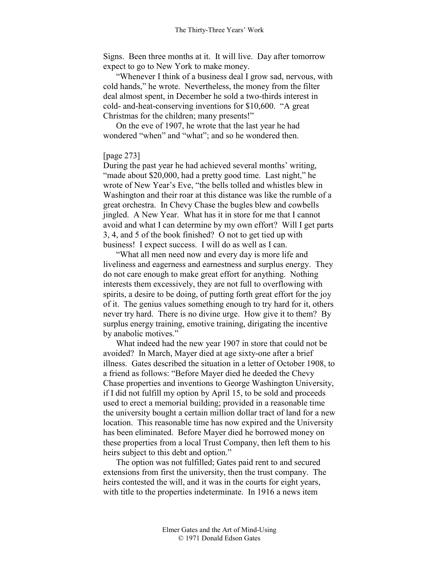Signs. Been three months at it. It will live. Day after tomorrow expect to go to New York to make money.

"Whenever I think of a business deal I grow sad, nervous, with cold hands," he wrote. Nevertheless, the money from the filter deal almost spent, in December he sold a two-thirds interest in cold- and-heat-conserving inventions for \$10,600. "A great Christmas for the children; many presents!"

On the eve of 1907, he wrote that the last year he had wondered "when" and "what"; and so he wondered then.

## [page 273]

During the past year he had achieved several months' writing, "made about \$20,000, had a pretty good time. Last night," he wrote of New Year's Eve, "the bells tolled and whistles blew in Washington and their roar at this distance was like the rumble of a great orchestra. In Chevy Chase the bugles blew and cowbells jingled. A New Year. What has it in store for me that I cannot avoid and what I can determine by my own effort? Will I get parts 3, 4, and 5 of the book finished? O not to get tied up with business! I expect success. I will do as well as I can.

"What all men need now and every day is more life and liveliness and eagerness and earnestness and surplus energy. They do not care enough to make great effort for anything. Nothing interests them excessively, they are not full to overflowing with spirits, a desire to be doing, of putting forth great effort for the joy of it. The genius values something enough to try hard for it, others never try hard. There is no divine urge. How give it to them? By surplus energy training, emotive training, dirigating the incentive by anabolic motives."

What indeed had the new year 1907 in store that could not be avoided? In March, Mayer died at age sixty-one after a brief illness. Gates described the situation in a letter of October 1908, to a friend as follows: "Before Mayer died he deeded the Chevy Chase properties and inventions to George Washington University, if I did not fulfill my option by April 15, to be sold and proceeds used to erect a memorial building; provided in a reasonable time the university bought a certain million dollar tract of land for a new location. This reasonable time has now expired and the University has been eliminated. Before Mayer died he borrowed money on these properties from a local Trust Company, then left them to his heirs subject to this debt and option."

The option was not fulfilled; Gates paid rent to and secured extensions from first the university, then the trust company. The heirs contested the will, and it was in the courts for eight years, with title to the properties indeterminate. In 1916 a news item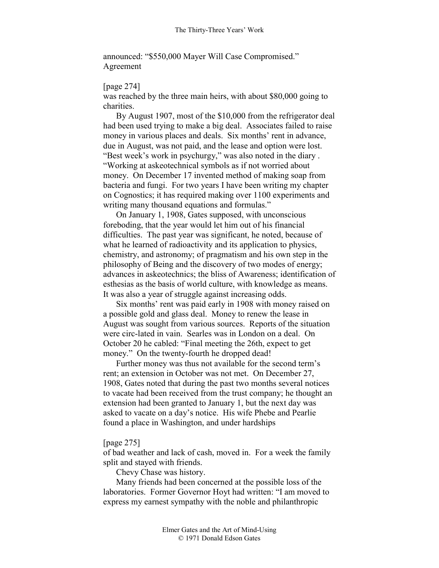announced: "\$550,000 Mayer Will Case Compromised." Agreement

## [page 274]

was reached by the three main heirs, with about \$80,000 going to charities.

By August 1907, most of the \$10,000 from the refrigerator deal had been used trying to make a big deal. Associates failed to raise money in various places and deals. Six months' rent in advance, due in August, was not paid, and the lease and option were lost. "Best week's work in psychurgy," was also noted in the diary . "Working at askeotechnical symbols as if not worried about money. On December 17 invented method of making soap from bacteria and fungi. For two years I have been writing my chapter on Cognostics; it has required making over 1100 experiments and writing many thousand equations and formulas."

On January 1, 1908, Gates supposed, with unconscious foreboding, that the year would let him out of his financial difficulties. The past year was significant, he noted, because of what he learned of radioactivity and its application to physics, chemistry, and astronomy; of pragmatism and his own step in the philosophy of Being and the discovery of two modes of energy; advances in askeotechnics; the bliss of Awareness; identification of esthesias as the basis of world culture, with knowledge as means. It was also a year of struggle against increasing odds.

Six months' rent was paid early in 1908 with money raised on a possible gold and glass deal. Money to renew the lease in August was sought from various sources. Reports of the situation were circ-lated in vain. Searles was in London on a deal. On October 20 he cabled: "Final meeting the 26th, expect to get money." On the twenty-fourth he dropped dead!

Further money was thus not available for the second term's rent; an extension in October was not met. On December 27, 1908, Gates noted that during the past two months several notices to vacate had been received from the trust company; he thought an extension had been granted to January 1, but the next day was asked to vacate on a day's notice. His wife Phebe and Pearlie found a place in Washington, and under hardships

## [page 275]

of bad weather and lack of cash, moved in. For a week the family split and stayed with friends.

Chevy Chase was history.

Many friends had been concerned at the possible loss of the laboratories. Former Governor Hoyt had written: "I am moved to express my earnest sympathy with the noble and philanthropic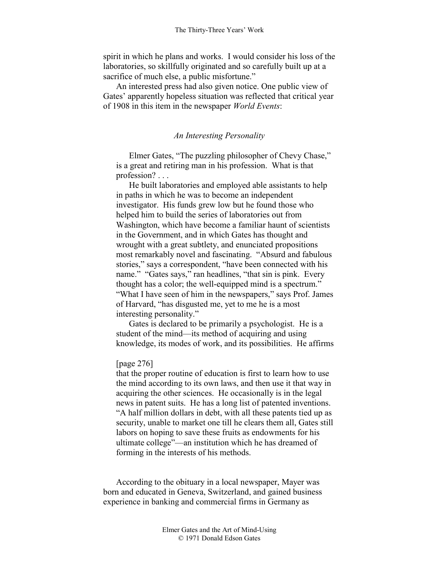spirit in which he plans and works. I would consider his loss of the laboratories, so skillfully originated and so carefully built up at a sacrifice of much else, a public misfortune."

An interested press had also given notice. One public view of Gates' apparently hopeless situation was reflected that critical year of 1908 in this item in the newspaper *World Events*:

### *An Interesting Personality*

Elmer Gates, "The puzzling philosopher of Chevy Chase," is a great and retiring man in his profession. What is that profession? . . .

He built laboratories and employed able assistants to help in paths in which he was to become an independent investigator. His funds grew low but he found those who helped him to build the series of laboratories out from Washington, which have become a familiar haunt of scientists in the Government, and in which Gates has thought and wrought with a great subtlety, and enunciated propositions most remarkably novel and fascinating. "Absurd and fabulous stories," says a correspondent, "have been connected with his name." "Gates says," ran headlines, "that sin is pink. Every thought has a color; the well-equipped mind is a spectrum." "What I have seen of him in the newspapers," says Prof. James of Harvard, "has disgusted me, yet to me he is a most interesting personality."

Gates is declared to be primarily a psychologist. He is a student of the mind—its method of acquiring and using knowledge, its modes of work, and its possibilities. He affirms

#### [page 276]

that the proper routine of education is first to learn how to use the mind according to its own laws, and then use it that way in acquiring the other sciences. He occasionally is in the legal news in patent suits. He has a long list of patented inventions. "A half million dollars in debt, with all these patents tied up as security, unable to market one till he clears them all, Gates still labors on hoping to save these fruits as endowments for his ultimate college"—an institution which he has dreamed of forming in the interests of his methods.

According to the obituary in a local newspaper, Mayer was born and educated in Geneva, Switzerland, and gained business experience in banking and commercial firms in Germany as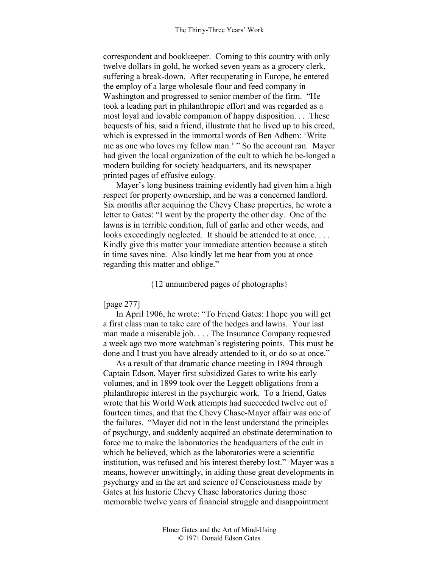correspondent and bookkeeper. Coming to this country with only twelve dollars in gold, he worked seven years as a grocery clerk, suffering a break-down. After recuperating in Europe, he entered the employ of a large wholesale flour and feed company in Washington and progressed to senior member of the firm. "He took a leading part in philanthropic effort and was regarded as a most loyal and lovable companion of happy disposition. . . .These bequests of his, said a friend, illustrate that he lived up to his creed, which is expressed in the immortal words of Ben Adhem: 'Write me as one who loves my fellow man.' " So the account ran. Mayer had given the local organization of the cult to which he be-longed a modern building for society headquarters, and its newspaper printed pages of effusive eulogy.

Mayer's long business training evidently had given him a high respect for property ownership, and he was a concerned landlord. Six months after acquiring the Chevy Chase properties, he wrote a letter to Gates: "I went by the property the other day. One of the lawns is in terrible condition, full of garlic and other weeds, and looks exceedingly neglected. It should be attended to at once.... Kindly give this matter your immediate attention because a stitch in time saves nine. Also kindly let me hear from you at once regarding this matter and oblige."

## {12 unnumbered pages of photographs}

### [page 277]

In April 1906, he wrote: "To Friend Gates: I hope you will get a first class man to take care of the hedges and lawns. Your last man made a miserable job. . . . The Insurance Company requested a week ago two more watchman's registering points. This must be done and I trust you have already attended to it, or do so at once."

As a result of that dramatic chance meeting in 1894 through Captain Edson, Mayer first subsidized Gates to write his early volumes, and in 1899 took over the Leggett obligations from a philanthropic interest in the psychurgic work. To a friend, Gates wrote that his World Work attempts had succeeded twelve out of fourteen times, and that the Chevy Chase-Mayer affair was one of the failures. "Mayer did not in the least understand the principles of psychurgy, and suddenly acquired an obstinate determination to force me to make the laboratories the headquarters of the cult in which he believed, which as the laboratories were a scientific institution, was refused and his interest thereby lost." Mayer was a means, however unwittingly, in aiding those great developments in psychurgy and in the art and science of Consciousness made by Gates at his historic Chevy Chase laboratories during those memorable twelve years of financial struggle and disappointment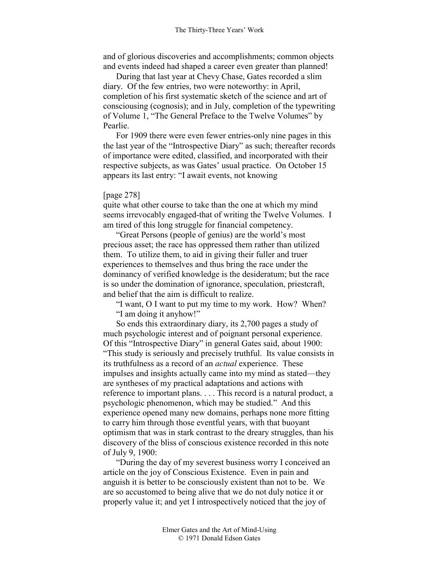and of glorious discoveries and accomplishments; common objects and events indeed had shaped a career even greater than planned!

During that last year at Chevy Chase, Gates recorded a slim diary. Of the few entries, two were noteworthy: in April, completion of his first systematic sketch of the science and art of consciousing (cognosis); and in July, completion of the typewriting of Volume 1, "The General Preface to the Twelve Volumes" by Pearlie.

For 1909 there were even fewer entries-only nine pages in this the last year of the "Introspective Diary" as such; thereafter records of importance were edited, classified, and incorporated with their respective subjects, as was Gates' usual practice. On October 15 appears its last entry: "I await events, not knowing

#### [page 278]

quite what other course to take than the one at which my mind seems irrevocably engaged-that of writing the Twelve Volumes. I am tired of this long struggle for financial competency.

"Great Persons (people of genius) are the world's most precious asset; the race has oppressed them rather than utilized them. To utilize them, to aid in giving their fuller and truer experiences to themselves and thus bring the race under the dominancy of verified knowledge is the desideratum; but the race is so under the domination of ignorance, speculation, priestcraft, and belief that the aim is difficult to realize.

"I want, O I want to put my time to my work. How? When? "I am doing it anyhow!"

So ends this extraordinary diary, its 2,700 pages a study of much psychologic interest and of poignant personal experience. Of this "Introspective Diary" in general Gates said, about 1900: "This study is seriously and precisely truthful. Its value consists in its truthfulness as a record of an *actual* experience. These impulses and insights actually came into my mind as stated—they are syntheses of my practical adaptations and actions with reference to important plans. . . . This record is a natural product, a psychologic phenomenon, which may be studied." And this experience opened many new domains, perhaps none more fitting to carry him through those eventful years, with that buoyant optimism that was in stark contrast to the dreary struggles, than his discovery of the bliss of conscious existence recorded in this note of July 9, 1900:

"During the day of my severest business worry I conceived an article on the joy of Conscious Existence. Even in pain and anguish it is better to be consciously existent than not to be. We are so accustomed to being alive that we do not duly notice it or properly value it; and yet I introspectively noticed that the joy of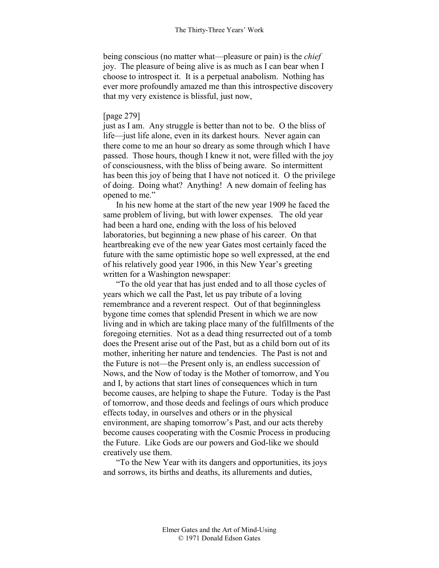being conscious (no matter what—pleasure or pain) is the *chief* joy. The pleasure of being alive is as much as I can bear when I choose to introspect it. It is a perpetual anabolism. Nothing has ever more profoundly amazed me than this introspective discovery that my very existence is blissful, just now,

# [page 279]

just as I am. Any struggle is better than not to be. O the bliss of life—just life alone, even in its darkest hours. Never again can there come to me an hour so dreary as some through which I have passed. Those hours, though I knew it not, were filled with the joy of consciousness, with the bliss of being aware. So intermittent has been this joy of being that I have not noticed it. O the privilege of doing. Doing what? Anything! A new domain of feeling has opened to me."

In his new home at the start of the new year 1909 he faced the same problem of living, but with lower expenses. The old year had been a hard one, ending with the loss of his beloved laboratories, but beginning a new phase of his career. On that heartbreaking eve of the new year Gates most certainly faced the future with the same optimistic hope so well expressed, at the end of his relatively good year 1906, in this New Year's greeting written for a Washington newspaper:

"To the old year that has just ended and to all those cycles of years which we call the Past, let us pay tribute of a loving remembrance and a reverent respect. Out of that beginningless bygone time comes that splendid Present in which we are now living and in which are taking place many of the fulfillments of the foregoing eternities. Not as a dead thing resurrected out of a tomb does the Present arise out of the Past, but as a child born out of its mother, inheriting her nature and tendencies. The Past is not and the Future is not—the Present only is, an endless succession of Nows, and the Now of today is the Mother of tomorrow, and You and I, by actions that start lines of consequences which in turn become causes, are helping to shape the Future. Today is the Past of tomorrow, and those deeds and feelings of ours which produce effects today, in ourselves and others or in the physical environment, are shaping tomorrow's Past, and our acts thereby become causes cooperating with the Cosmic Process in producing the Future. Like Gods are our powers and God-like we should creatively use them.

"To the New Year with its dangers and opportunities, its joys and sorrows, its births and deaths, its allurements and duties,